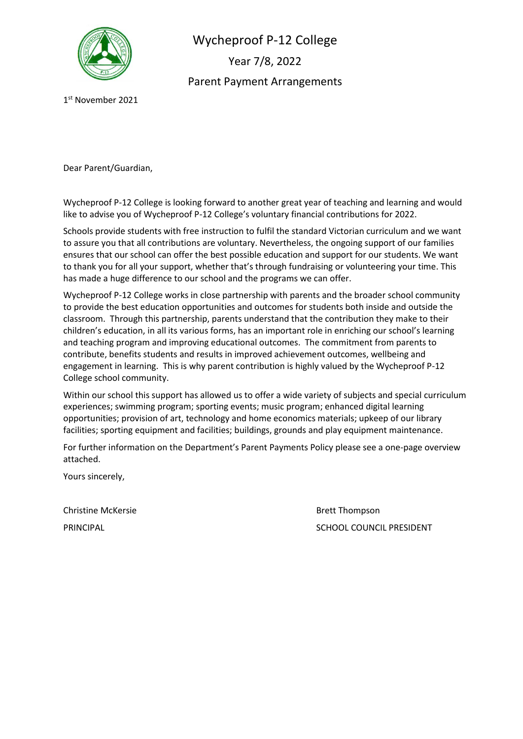

Wycheproof P-12 College Year 7/8, 2022 Parent Payment Arrangements

1 st November 2021

Dear Parent/Guardian,

Wycheproof P-12 College is looking forward to another great year of teaching and learning and would like to advise you of Wycheproof P-12 College's voluntary financial contributions for 2022.

Schools provide students with free instruction to fulfil the standard Victorian curriculum and we want to assure you that all contributions are voluntary. Nevertheless, the ongoing support of our families ensures that our school can offer the best possible education and support for our students. We want to thank you for all your support, whether that's through fundraising or volunteering your time. This has made a huge difference to our school and the programs we can offer.

Wycheproof P-12 College works in close partnership with parents and the broader school community to provide the best education opportunities and outcomes for students both inside and outside the classroom. Through this partnership, parents understand that the contribution they make to their children's education, in all its various forms, has an important role in enriching our school's learning and teaching program and improving educational outcomes. The commitment from parents to contribute, benefits students and results in improved achievement outcomes, wellbeing and engagement in learning. This is why parent contribution is highly valued by the Wycheproof P-12 College school community.

Within our school this support has allowed us to offer a wide variety of subjects and special curriculum experiences; swimming program; sporting events; music program; enhanced digital learning opportunities; provision of art, technology and home economics materials; upkeep of our library facilities; sporting equipment and facilities; buildings, grounds and play equipment maintenance.

For further information on the Department's Parent Payments Policy please see a one-page overview attached.

Yours sincerely,

Christine McKersie **Brett Thompson** 

PRINCIPAL **PRINCIPAL** SCHOOL COUNCIL PRESIDENT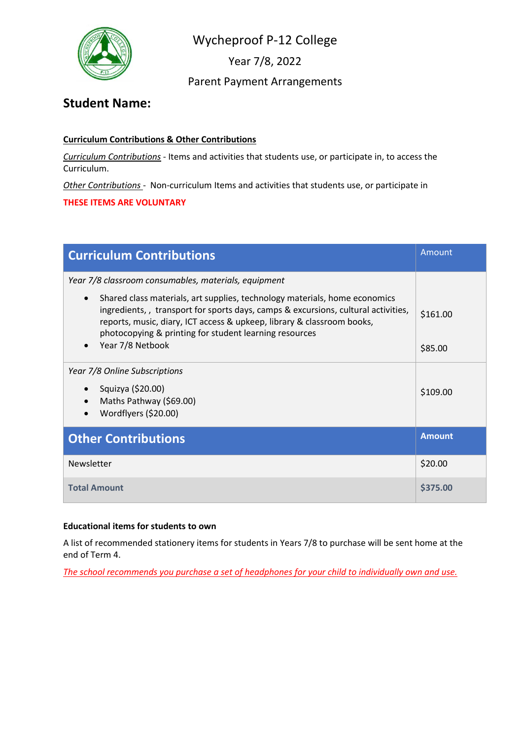

Year 7/8, 2022

## Parent Payment Arrangements

# **Student Name:**

#### **Curriculum Contributions & Other Contributions**

*Curriculum Contributions* - Items and activities that students use, or participate in, to access the Curriculum.

*Other Contributions* - Non-curriculum Items and activities that students use, or participate in

#### **THESE ITEMS ARE VOLUNTARY**

| <b>Curriculum Contributions</b>                                                                                                                                                                                                                                                                                  | Amount        |
|------------------------------------------------------------------------------------------------------------------------------------------------------------------------------------------------------------------------------------------------------------------------------------------------------------------|---------------|
| Year 7/8 classroom consumables, materials, equipment                                                                                                                                                                                                                                                             |               |
| Shared class materials, art supplies, technology materials, home economics<br>$\bullet$<br>ingredients,, transport for sports days, camps & excursions, cultural activities,<br>reports, music, diary, ICT access & upkeep, library & classroom books,<br>photocopying & printing for student learning resources | \$161.00      |
| Year 7/8 Netbook                                                                                                                                                                                                                                                                                                 | \$85.00       |
| Year 7/8 Online Subscriptions<br>Squizya (\$20.00)<br>Maths Pathway (\$69.00)<br>Wordflyers (\$20.00)                                                                                                                                                                                                            | \$109.00      |
| <b>Other Contributions</b>                                                                                                                                                                                                                                                                                       | <b>Amount</b> |
| Newsletter                                                                                                                                                                                                                                                                                                       | \$20.00       |
| <b>Total Amount</b>                                                                                                                                                                                                                                                                                              | \$375.00      |

#### **Educational items for students to own**

A list of recommended stationery items for students in Years 7/8 to purchase will be sent home at the end of Term 4.

*The school recommends you purchase a set of headphones for your child to individually own and use.*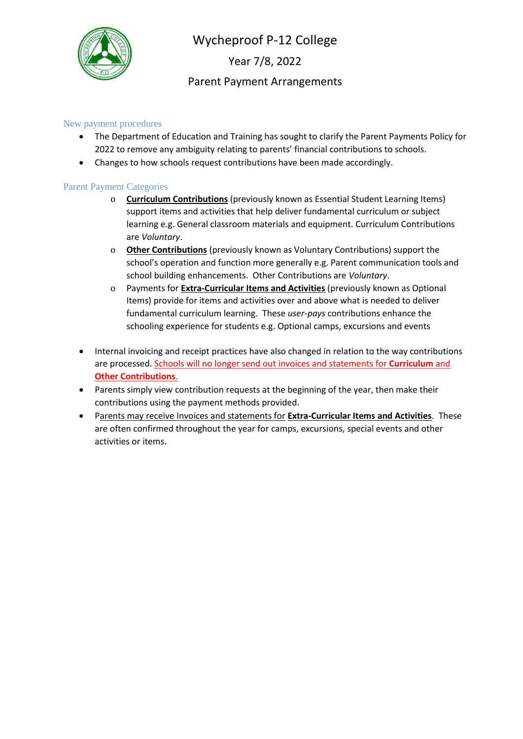

Year 7/8, 2022

## Parent Payment Arrangements

#### New payment procedures

- The Department of Education and Training has sought to clarify the Parent Payments Policy for 2022 to remove any ambiguity relating to parents' financial contributions to schools.
- Changes to how schools request contributions have been made accordingly.

#### Parent Payment Categories

- o **Curriculum Contributions** (previously known as Essential Student Learning Items) support items and activities that help deliver fundamental curriculum or subject learning e.g. General classroom materials and equipment. Curriculum Contributions are *Voluntary*.
- o **Other Contributions** (previously known as Voluntary Contributions) support the school's operation and function more generally e.g. Parent communication tools and school building enhancements. Other Contributions are *Voluntary*.
- o Payments for **Extra-Curricular Items and Activities** (previously known as Optional Items) provide for items and activities over and above what is needed to deliver fundamental curriculum learning. These *user-pays* contributions enhance the schooling experience for students e.g. Optional camps, excursions and events
- Internal invoicing and receipt practices have also changed in relation to the way contributions are processed. Schools will no longer send out invoices and statements for **Curriculum** and **Other Contributions**.
- Parents simply view contribution requests at the beginning of the year, then make their contributions using the payment methods provided.
- Parents may receive Invoices and statements for **Extra-Curricular Items and Activities**. These are often confirmed throughout the year for camps, excursions, special events and other activities or items.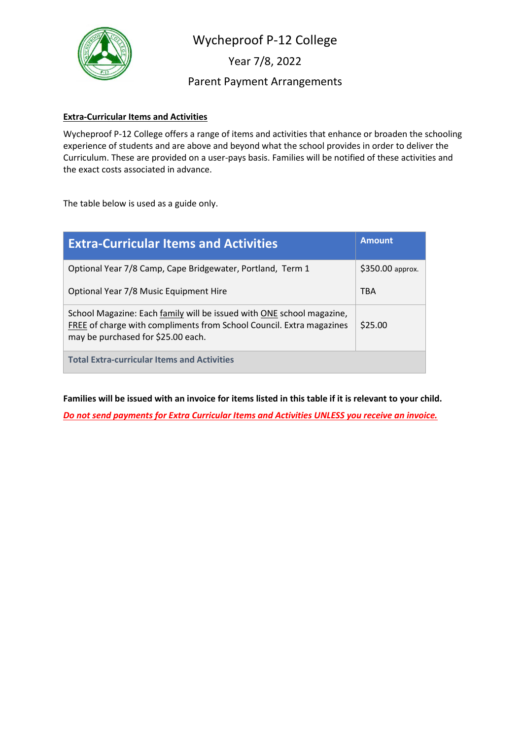

Year 7/8, 2022

Parent Payment Arrangements

#### **Extra-Curricular Items and Activities**

Wycheproof P-12 College offers a range of items and activities that enhance or broaden the schooling experience of students and are above and beyond what the school provides in order to deliver the Curriculum. These are provided on a user-pays basis. Families will be notified of these activities and the exact costs associated in advance.

The table below is used as a guide only.

| <b>Extra-Curricular Items and Activities</b>                                                                                                                                        | <b>Amount</b>    |
|-------------------------------------------------------------------------------------------------------------------------------------------------------------------------------------|------------------|
| Optional Year 7/8 Camp, Cape Bridgewater, Portland, Term 1                                                                                                                          | \$350.00 approx. |
| Optional Year 7/8 Music Equipment Hire                                                                                                                                              | <b>TBA</b>       |
| School Magazine: Each family will be issued with ONE school magazine,<br>FREE of charge with compliments from School Council. Extra magazines<br>may be purchased for \$25.00 each. | \$25.00          |
| <b>Total Extra-curricular Items and Activities</b>                                                                                                                                  |                  |

**Families will be issued with an invoice for items listed in this table if it is relevant to your child.**

*Do not send payments for Extra Curricular Items and Activities UNLESS you receive an invoice.*